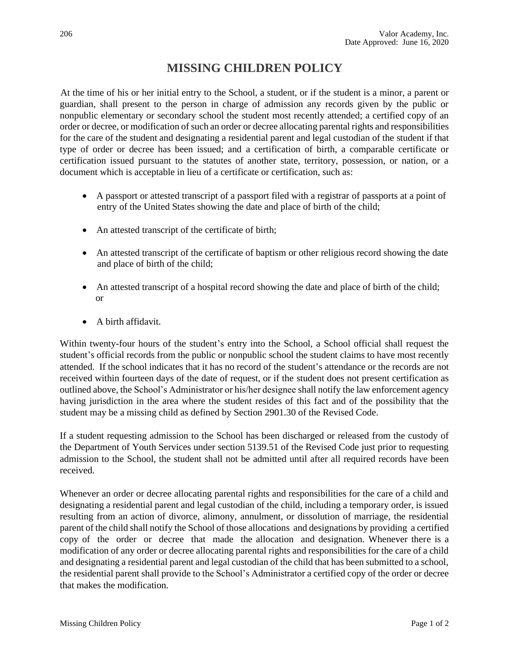## **MISSING CHILDREN POLICY**

At the time of his or her initial entry to the School, a student, or if the student is a minor, a parent or guardian, shall present to the person in charge of admission any records given by the public or nonpublic elementary or secondary school the student most recently attended; a certified copy of an order or decree, or modification of such an order or decree allocating parental rights and responsibilities for the care of the student and designating a residential parent and legal custodian of the student if that type of order or decree has been issued; and a certification of birth, a comparable certificate or certification issued pursuant to the statutes of another state, territory, possession, or nation, or a document which is acceptable in lieu of a certificate or certification, such as:

- A passport or attested transcript of a passport filed with a registrar of passports at a point of entry of the United States showing the date and place of birth of the child;
- An attested transcript of the certificate of birth;
- An attested transcript of the certificate of baptism or other religious record showing the date and place of birth of the child;
- An attested transcript of a hospital record showing the date and place of birth of the child; or
- A birth affidavit.

Within twenty-four hours of the student's entry into the School, a School official shall request the student's official records from the public or nonpublic school the student claims to have most recently attended. If the school indicates that it has no record of the student's attendance or the records are not received within fourteen days of the date of request, or if the student does not present certification as outlined above, the School's Administrator or his/her designee shall notify the law enforcement agency having jurisdiction in the area where the student resides of this fact and of the possibility that the student may be a missing child as defined by Section 2901.30 of the Revised Code.

If a student requesting admission to the School has been discharged or released from the custody of the Department of Youth Services under section 5139.51 of the Revised Code just prior to requesting admission to the School, the student shall not be admitted until after all required records have been received.

Whenever an order or decree allocating parental rights and responsibilities for the care of a child and designating a residential parent and legal custodian of the child, including a temporary order, is issued resulting from an action of divorce, alimony, annulment, or dissolution of marriage, the residential parent of the child shall notify the School of those allocations and designations by providing a certified copy of the order or decree that made the allocation and designation. Whenever there is a modification of any order or decree allocating parental rights and responsibilities for the care of a child and designating a residential parent and legal custodian of the child that has been submitted to a school, the residential parent shall provide to the School's Administrator a certified copy of the order or decree that makes the modification.